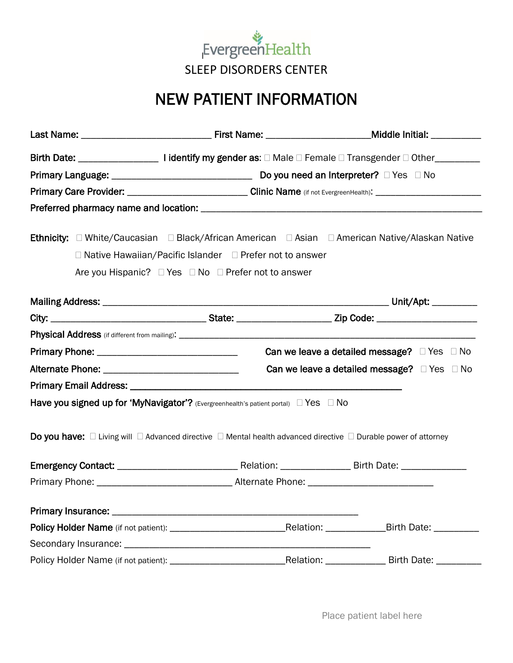

## NEW PATIENT INFORMATION

| <b>Ethnicity:</b> □ White/Caucasian □ Black/African American □ Asian □ American Native/Alaskan Native                              |                          |                                                       |
|------------------------------------------------------------------------------------------------------------------------------------|--------------------------|-------------------------------------------------------|
| $\Box$ Native Hawaiian/Pacific Islander $\Box$ Prefer not to answer                                                                |                          |                                                       |
| Are you Hispanic? □ Yes □ No □ Prefer not to answer                                                                                |                          |                                                       |
|                                                                                                                                    |                          |                                                       |
|                                                                                                                                    |                          |                                                       |
|                                                                                                                                    |                          |                                                       |
|                                                                                                                                    |                          | Can we leave a detailed message? $\Box$ Yes $\Box$ No |
|                                                                                                                                    |                          | Can we leave a detailed message? $\Box$ Yes $\Box$ No |
|                                                                                                                                    |                          |                                                       |
| Have you signed up for 'MyNavigator'? (Evergreenhealth's patient portal) $\Box$ Yes $\Box$ No                                      |                          |                                                       |
| Do you have: $\Box$ Living will $\Box$ Advanced directive $\Box$ Mental health advanced directive $\Box$ Durable power of attorney |                          |                                                       |
|                                                                                                                                    |                          |                                                       |
|                                                                                                                                    |                          |                                                       |
|                                                                                                                                    |                          |                                                       |
|                                                                                                                                    |                          |                                                       |
|                                                                                                                                    |                          | Birth Date: __________                                |
|                                                                                                                                    |                          |                                                       |
|                                                                                                                                    | Relation: ______________ | Birth Date: __________                                |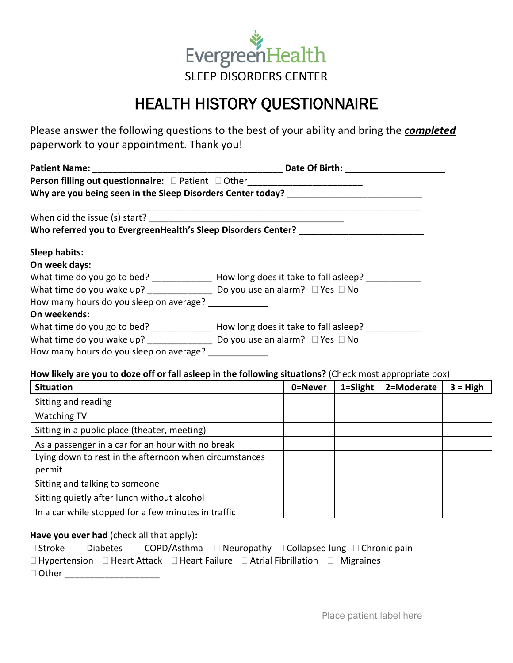

## HEALTH HISTORY QUESTIONNAIRE

Please answer the following questions to the best of your ability and bring the *completed* paperwork to your appointment. Thank you!

|                                         | Person filling out questionnaire: □ Patient □ Other_____________________________               |  |  |  |  |
|-----------------------------------------|------------------------------------------------------------------------------------------------|--|--|--|--|
|                                         | Why are you being seen in the Sleep Disorders Center today? _____________________              |  |  |  |  |
|                                         |                                                                                                |  |  |  |  |
|                                         | Who referred you to EvergreenHealth's Sleep Disorders Center? ___________________              |  |  |  |  |
| <b>Sleep habits:</b>                    |                                                                                                |  |  |  |  |
| On week days:                           |                                                                                                |  |  |  |  |
|                                         | What time do you go to bed? ________________ How long does it take to fall asleep? ___________ |  |  |  |  |
|                                         | What time do you wake up? ______________________ Do you use an alarm? $\Box$ Yes $\Box$ No     |  |  |  |  |
| How many hours do you sleep on average? |                                                                                                |  |  |  |  |
| On weekends:                            |                                                                                                |  |  |  |  |
|                                         | What time do you go to bed? _______________ How long does it take to fall asleep? __________   |  |  |  |  |
|                                         |                                                                                                |  |  |  |  |
| How many hours do you sleep on average? |                                                                                                |  |  |  |  |

## **How likely are you to doze off or fall asleep in the following situations?** (Check most appropriate box)

| <b>Situation</b>                                       | 0=Never | 1=Slight | 2=Moderate | $3 = High$ |
|--------------------------------------------------------|---------|----------|------------|------------|
| Sitting and reading                                    |         |          |            |            |
| <b>Watching TV</b>                                     |         |          |            |            |
| Sitting in a public place (theater, meeting)           |         |          |            |            |
| As a passenger in a car for an hour with no break      |         |          |            |            |
| Lying down to rest in the afternoon when circumstances |         |          |            |            |
| permit                                                 |         |          |            |            |
| Sitting and talking to someone                         |         |          |            |            |
| Sitting quietly after lunch without alcohol            |         |          |            |            |
| In a car while stopped for a few minutes in traffic    |         |          |            |            |

## **Have you ever had** (check all that apply)**:**

|              |  |  |  |                                                                                                          | $\Box$ Stroke $\Box$ Diabetes $\Box$ COPD/Asthma $\Box$ Neuropathy $\Box$ Collapsed lung $\Box$ Chronic pain |
|--------------|--|--|--|----------------------------------------------------------------------------------------------------------|--------------------------------------------------------------------------------------------------------------|
|              |  |  |  | $\Box$ Hypertension $\Box$ Heart Attack $\Box$ Heart Failure $\Box$ Atrial Fibrillation $\Box$ Migraines |                                                                                                              |
| $\Box$ Other |  |  |  |                                                                                                          |                                                                                                              |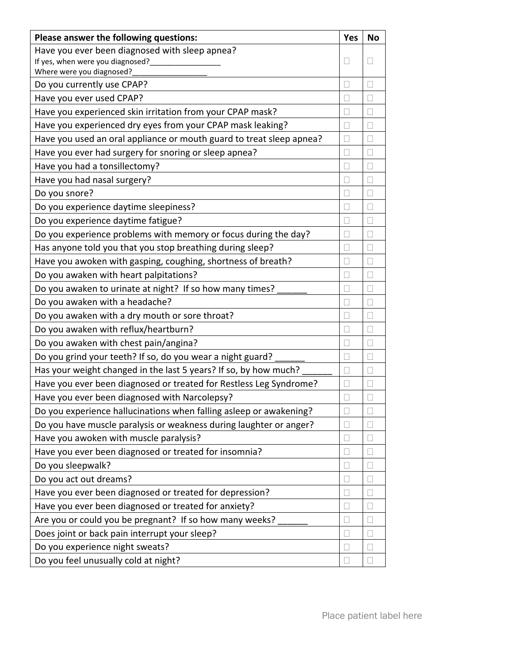| Please answer the following questions:                               | <b>Yes</b>     | <b>No</b>    |
|----------------------------------------------------------------------|----------------|--------------|
| Have you ever been diagnosed with sleep apnea?                       |                |              |
| If yes, when were you diagnosed?                                     |                |              |
| Where were you diagnosed?                                            |                |              |
| Do you currently use CPAP?                                           |                |              |
| Have you ever used CPAP?                                             |                |              |
| Have you experienced skin irritation from your CPAP mask?            | $\mathbb{R}$   | П            |
| Have you experienced dry eyes from your CPAP mask leaking?           |                |              |
| Have you used an oral appliance or mouth guard to treat sleep apnea? |                |              |
| Have you ever had surgery for snoring or sleep apnea?                |                | П            |
| Have you had a tonsillectomy?                                        |                |              |
| Have you had nasal surgery?                                          |                | П            |
| Do you snore?                                                        |                | П            |
| Do you experience daytime sleepiness?                                | $\mathbb{R}^n$ | П            |
| Do you experience daytime fatigue?                                   |                |              |
| Do you experience problems with memory or focus during the day?      |                | П            |
| Has anyone told you that you stop breathing during sleep?            |                |              |
| Have you awoken with gasping, coughing, shortness of breath?         |                |              |
| Do you awaken with heart palpitations?                               | П              | П            |
| Do you awaken to urinate at night? If so how many times?             |                |              |
| Do you awaken with a headache?                                       |                |              |
| Do you awaken with a dry mouth or sore throat?                       |                |              |
| Do you awaken with reflux/heartburn?                                 |                | $\mathbf{L}$ |
| Do you awaken with chest pain/angina?                                | $\mathbb{R}$   | $\mathbf{L}$ |
| Do you grind your teeth? If so, do you wear a night guard?           |                |              |
| Has your weight changed in the last 5 years? If so, by how much?     | П              | П            |
| Have you ever been diagnosed or treated for Restless Leg Syndrome?   |                |              |
| Have you ever been diagnosed with Narcolepsy?                        |                | $\mathbf{L}$ |
| Do you experience hallucinations when falling asleep or awakening?   |                |              |
| Do you have muscle paralysis or weakness during laughter or anger?   |                |              |
| Have you awoken with muscle paralysis?                               | $\mathbb{R}$   |              |
| Have you ever been diagnosed or treated for insomnia?                |                |              |
| Do you sleepwalk?                                                    |                |              |
| Do you act out dreams?                                               |                |              |
| Have you ever been diagnosed or treated for depression?              |                |              |
| Have you ever been diagnosed or treated for anxiety?                 | L              |              |
| Are you or could you be pregnant? If so how many weeks?              |                |              |
| Does joint or back pain interrupt your sleep?                        | $\mathbb{R}$   |              |
| Do you experience night sweats?                                      |                |              |
| Do you feel unusually cold at night?                                 | $\mathbb{R}$   | П            |
|                                                                      |                |              |